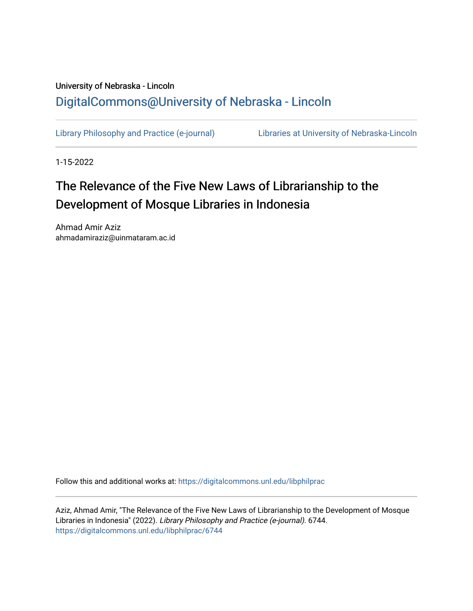# University of Nebraska - Lincoln [DigitalCommons@University of Nebraska - Lincoln](https://digitalcommons.unl.edu/)

[Library Philosophy and Practice \(e-journal\)](https://digitalcommons.unl.edu/libphilprac) [Libraries at University of Nebraska-Lincoln](https://digitalcommons.unl.edu/libraries) 

1-15-2022

# The Relevance of the Five New Laws of Librarianship to the Development of Mosque Libraries in Indonesia

Ahmad Amir Aziz ahmadamiraziz@uinmataram.ac.id

Follow this and additional works at: [https://digitalcommons.unl.edu/libphilprac](https://digitalcommons.unl.edu/libphilprac?utm_source=digitalcommons.unl.edu%2Flibphilprac%2F6744&utm_medium=PDF&utm_campaign=PDFCoverPages) 

Aziz, Ahmad Amir, "The Relevance of the Five New Laws of Librarianship to the Development of Mosque Libraries in Indonesia" (2022). Library Philosophy and Practice (e-journal). 6744. [https://digitalcommons.unl.edu/libphilprac/6744](https://digitalcommons.unl.edu/libphilprac/6744?utm_source=digitalcommons.unl.edu%2Flibphilprac%2F6744&utm_medium=PDF&utm_campaign=PDFCoverPages)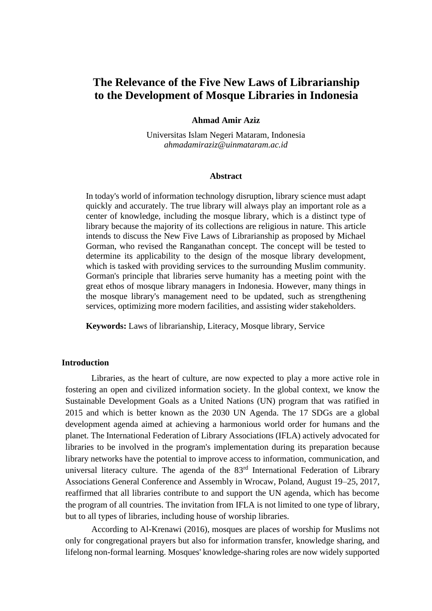# **The Relevance of the Five New Laws of Librarianship to the Development of Mosque Libraries in Indonesia**

#### **Ahmad Amir Aziz**

Universitas Islam Negeri Mataram, Indonesia *[ahmadamiraziz@uinmataram.ac.id](mailto:ahmadamiraziz@uinmataram.ac.id)*

#### **Abstract**

In today's world of information technology disruption, library science must adapt quickly and accurately. The true library will always play an important role as a center of knowledge, including the mosque library, which is a distinct type of library because the majority of its collections are religious in nature. This article intends to discuss the New Five Laws of Librarianship as proposed by Michael Gorman, who revised the Ranganathan concept. The concept will be tested to determine its applicability to the design of the mosque library development, which is tasked with providing services to the surrounding Muslim community. Gorman's principle that libraries serve humanity has a meeting point with the great ethos of mosque library managers in Indonesia. However, many things in the mosque library's management need to be updated, such as strengthening services, optimizing more modern facilities, and assisting wider stakeholders.

**Keywords:** Laws of librarianship, Literacy, Mosque library, Service

# **Introduction**

Libraries, as the heart of culture, are now expected to play a more active role in fostering an open and civilized information society. In the global context, we know the Sustainable Development Goals as a United Nations (UN) program that was ratified in 2015 and which is better known as the 2030 UN Agenda. The 17 SDGs are a global development agenda aimed at achieving a harmonious world order for humans and the planet. The International Federation of Library Associations (IFLA) actively advocated for libraries to be involved in the program's implementation during its preparation because library networks have the potential to improve access to information, communication, and universal literacy culture. The agenda of the 83<sup>rd</sup> International Federation of Library Associations General Conference and Assembly in Wrocaw, Poland, August 19–25, 2017, reaffirmed that all libraries contribute to and support the UN agenda, which has become the program of all countries. The invitation from IFLA is not limited to one type of library, but to all types of libraries, including house of worship libraries.

According to Al-Krenawi (2016), mosques are places of worship for Muslims not only for congregational prayers but also for information transfer, knowledge sharing, and lifelong non-formal learning. Mosques' knowledge-sharing roles are now widely supported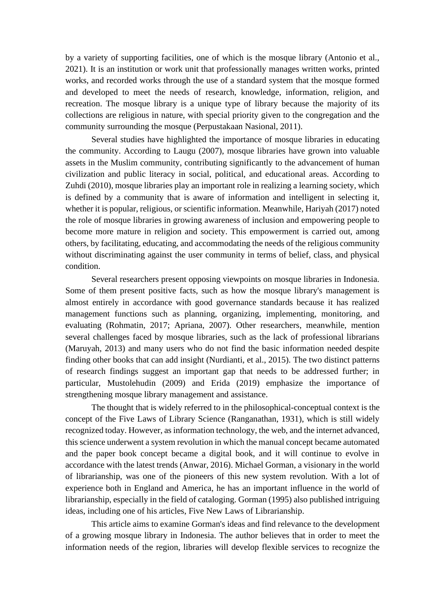by a variety of supporting facilities, one of which is the mosque library (Antonio et al., 2021). It is an institution or work unit that professionally manages written works, printed works, and recorded works through the use of a standard system that the mosque formed and developed to meet the needs of research, knowledge, information, religion, and recreation. The mosque library is a unique type of library because the majority of its collections are religious in nature, with special priority given to the congregation and the community surrounding the mosque (Perpustakaan Nasional, 2011).

Several studies have highlighted the importance of mosque libraries in educating the community. According to Laugu (2007), mosque libraries have grown into valuable assets in the Muslim community, contributing significantly to the advancement of human civilization and public literacy in social, political, and educational areas. According to Zuhdi (2010), mosque libraries play an important role in realizing a learning society, which is defined by a community that is aware of information and intelligent in selecting it, whether it is popular, religious, or scientific information. Meanwhile, Hariyah (2017) noted the role of mosque libraries in growing awareness of inclusion and empowering people to become more mature in religion and society. This empowerment is carried out, among others, by facilitating, educating, and accommodating the needs of the religious community without discriminating against the user community in terms of belief, class, and physical condition.

Several researchers present opposing viewpoints on mosque libraries in Indonesia. Some of them present positive facts, such as how the mosque library's management is almost entirely in accordance with good governance standards because it has realized management functions such as planning, organizing, implementing, monitoring, and evaluating (Rohmatin, 2017; Apriana, 2007). Other researchers, meanwhile, mention several challenges faced by mosque libraries, such as the lack of professional librarians (Maruyah, 2013) and many users who do not find the basic information needed despite finding other books that can add insight (Nurdianti, et al., 2015). The two distinct patterns of research findings suggest an important gap that needs to be addressed further; in particular, Mustolehudin (2009) and Erida (2019) emphasize the importance of strengthening mosque library management and assistance.

The thought that is widely referred to in the philosophical-conceptual context is the concept of the Five Laws of Library Science (Ranganathan, 1931), which is still widely recognized today. However, as information technology, the web, and the internet advanced, this science underwent a system revolution in which the manual concept became automated and the paper book concept became a digital book, and it will continue to evolve in accordance with the latest trends (Anwar, 2016). Michael Gorman, a visionary in the world of librarianship, was one of the pioneers of this new system revolution. With a lot of experience both in England and America, he has an important influence in the world of librarianship, especially in the field of cataloging. Gorman (1995) also published intriguing ideas, including one of his articles, Five New Laws of Librarianship.

This article aims to examine Gorman's ideas and find relevance to the development of a growing mosque library in Indonesia. The author believes that in order to meet the information needs of the region, libraries will develop flexible services to recognize the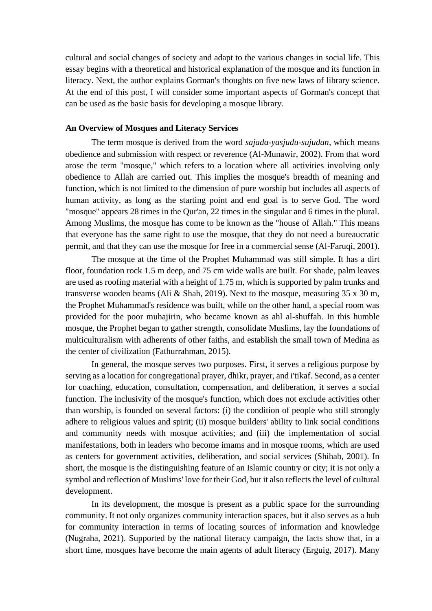cultural and social changes of society and adapt to the various changes in social life. This essay begins with a theoretical and historical explanation of the mosque and its function in literacy. Next, the author explains Gorman's thoughts on five new laws of library science. At the end of this post, I will consider some important aspects of Gorman's concept that can be used as the basic basis for developing a mosque library.

## **An Overview of Mosques and Literacy Services**

The term mosque is derived from the word *sajada-yasjudu-sujudan*, which means obedience and submission with respect or reverence (Al-Munawir, 2002). From that word arose the term "mosque," which refers to a location where all activities involving only obedience to Allah are carried out. This implies the mosque's breadth of meaning and function, which is not limited to the dimension of pure worship but includes all aspects of human activity, as long as the starting point and end goal is to serve God. The word "mosque" appears 28 times in the Qur'an, 22 times in the singular and 6 times in the plural. Among Muslims, the mosque has come to be known as the "house of Allah." This means that everyone has the same right to use the mosque, that they do not need a bureaucratic permit, and that they can use the mosque for free in a commercial sense (Al-Faruqi, 2001).

The mosque at the time of the Prophet Muhammad was still simple. It has a dirt floor, foundation rock 1.5 m deep, and 75 cm wide walls are built. For shade, palm leaves are used as roofing material with a height of 1.75 m, which is supported by palm trunks and transverse wooden beams (Ali & Shah, 2019). Next to the mosque, measuring 35 x 30 m, the Prophet Muhammad's residence was built, while on the other hand, a special room was provided for the poor muhajirin, who became known as ahl al-shuffah. In this humble mosque, the Prophet began to gather strength, consolidate Muslims, lay the foundations of multiculturalism with adherents of other faiths, and establish the small town of Medina as the center of civilization (Fathurrahman, 2015).

In general, the mosque serves two purposes. First, it serves a religious purpose by serving as a location for congregational prayer, dhikr, prayer, and i'tikaf. Second, as a center for coaching, education, consultation, compensation, and deliberation, it serves a social function. The inclusivity of the mosque's function, which does not exclude activities other than worship, is founded on several factors: (i) the condition of people who still strongly adhere to religious values and spirit; (ii) mosque builders' ability to link social conditions and community needs with mosque activities; and (iii) the implementation of social manifestations, both in leaders who become imams and in mosque rooms, which are used as centers for government activities, deliberation, and social services (Shihab, 2001). In short, the mosque is the distinguishing feature of an Islamic country or city; it is not only a symbol and reflection of Muslims' love for their God, but it also reflects the level of cultural development.

In its development, the mosque is present as a public space for the surrounding community. It not only organizes community interaction spaces, but it also serves as a hub for community interaction in terms of locating sources of information and knowledge (Nugraha, 2021). Supported by the national literacy campaign, the facts show that, in a short time, mosques have become the main agents of adult literacy (Erguig, 2017). Many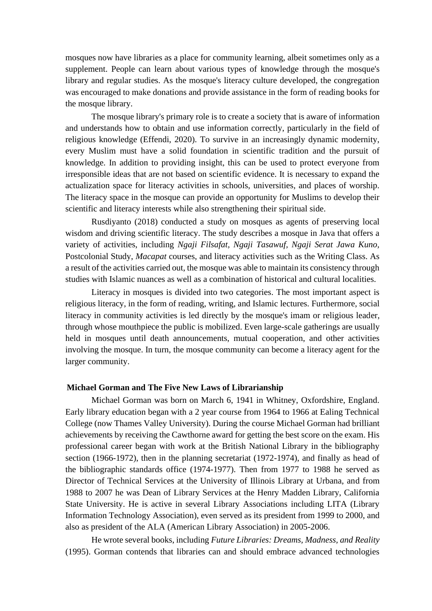mosques now have libraries as a place for community learning, albeit sometimes only as a supplement. People can learn about various types of knowledge through the mosque's library and regular studies. As the mosque's literacy culture developed, the congregation was encouraged to make donations and provide assistance in the form of reading books for the mosque library.

The mosque library's primary role is to create a society that is aware of information and understands how to obtain and use information correctly, particularly in the field of religious knowledge (Effendi, 2020). To survive in an increasingly dynamic modernity, every Muslim must have a solid foundation in scientific tradition and the pursuit of knowledge. In addition to providing insight, this can be used to protect everyone from irresponsible ideas that are not based on scientific evidence. It is necessary to expand the actualization space for literacy activities in schools, universities, and places of worship. The literacy space in the mosque can provide an opportunity for Muslims to develop their scientific and literacy interests while also strengthening their spiritual side.

Rusdiyanto (2018) conducted a study on mosques as agents of preserving local wisdom and driving scientific literacy. The study describes a mosque in Java that offers a variety of activities, including *Ngaji Filsafat, Ngaji Tasawuf, Ngaji Serat Jawa Kuno,*  Postcolonial Study, *Macapat* courses, and literacy activities such as the Writing Class. As a result of the activities carried out, the mosque was able to maintain its consistency through studies with Islamic nuances as well as a combination of historical and cultural localities.

Literacy in mosques is divided into two categories. The most important aspect is religious literacy, in the form of reading, writing, and Islamic lectures. Furthermore, social literacy in community activities is led directly by the mosque's imam or religious leader, through whose mouthpiece the public is mobilized. Even large-scale gatherings are usually held in mosques until death announcements, mutual cooperation, and other activities involving the mosque. In turn, the mosque community can become a literacy agent for the larger community.

#### **Michael Gorman and The Five New Laws of Librarianship**

Michael Gorman was born on March 6, 1941 in Whitney, Oxfordshire, England. Early library education began with a 2 year course from 1964 to 1966 at Ealing Technical College (now Thames Valley University). During the course Michael Gorman had brilliant achievements by receiving the Cawthorne award for getting the best score on the exam. His professional career began with work at the British National Library in the bibliography section (1966-1972), then in the planning secretariat (1972-1974), and finally as head of the bibliographic standards office (1974-1977). Then from 1977 to 1988 he served as Director of Technical Services at the University of Illinois Library at Urbana, and from 1988 to 2007 he was Dean of Library Services at the Henry Madden Library, California State University. He is active in several Library Associations including LITA (Library Information Technology Association), even served as its president from 1999 to 2000, and also as president of the ALA (American Library Association) in 2005-2006.

He wrote several books, including *Future Libraries: Dreams, Madness, and Reality*  (1995). Gorman contends that libraries can and should embrace advanced technologies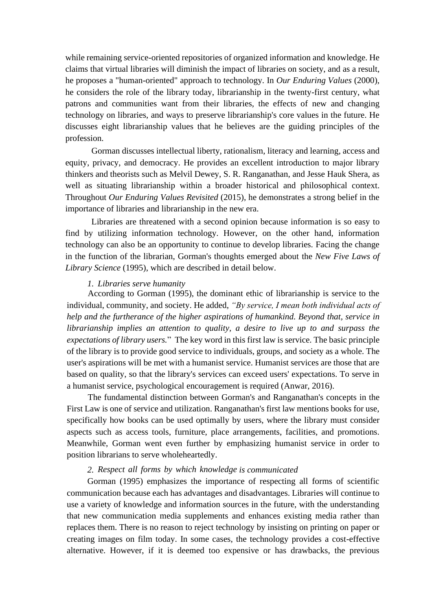while remaining service-oriented repositories of organized information and knowledge. He claims that virtual libraries will diminish the impact of libraries on society, and as a result, he proposes a "human-oriented" approach to technology. In *Our Enduring Values* (2000), he considers the role of the library today, librarianship in the twenty-first century, what patrons and communities want from their libraries, the effects of new and changing technology on libraries, and ways to preserve librarianship's core values in the future. He discusses eight librarianship values that he believes are the guiding principles of the profession.

Gorman discusses intellectual liberty, rationalism, literacy and learning, access and equity, privacy, and democracy. He provides an excellent introduction to major library thinkers and theorists such as Melvil Dewey, S. R. Ranganathan, and Jesse Hauk Shera, as well as situating librarianship within a broader historical and philosophical context. Throughout *Our Enduring Values Revisited* (2015), he demonstrates a strong belief in the importance of libraries and librarianship in the new era.

Libraries are threatened with a second opinion because information is so easy to find by utilizing information technology. However, on the other hand, information technology can also be an opportunity to continue to develop libraries. Facing the change in the function of the librarian, Gorman's thoughts emerged about the *New Five Laws of Library Science* (1995), which are described in detail below.

#### *1. Libraries serve humanity*

According to Gorman (1995), the dominant ethic of librarianship is service to the individual, community, and society. He added, *"By service, I mean both individual acts of help and the furtherance of the higher aspirations of humankind. Beyond that, service in librarianship implies an attention to quality, a desire to live up to and surpass the expectations of library users.*"The key word in this first law is service. The basic principle of the library is to provide good service to individuals, groups, and society as a whole. The user's aspirations will be met with a humanist service. Humanist services are those that are based on quality, so that the library's services can exceed users' expectations. To serve in a humanist service, psychological encouragement is required (Anwar, 2016).

The fundamental distinction between Gorman's and Ranganathan's concepts in the First Law is one of service and utilization. Ranganathan's first law mentions books for use, specifically how books can be used optimally by users, where the library must consider aspects such as access tools, furniture, place arrangements, facilities, and promotions. Meanwhile, Gorman went even further by emphasizing humanist service in order to position librarians to serve wholeheartedly.

# *2. Respect all forms by which knowledge is communicated*

Gorman (1995) emphasizes the importance of respecting all forms of scientific communication because each has advantages and disadvantages. Libraries will continue to use a variety of knowledge and information sources in the future, with the understanding that new communication media supplements and enhances existing media rather than replaces them. There is no reason to reject technology by insisting on printing on paper or creating images on film today. In some cases, the technology provides a cost-effective alternative. However, if it is deemed too expensive or has drawbacks, the previous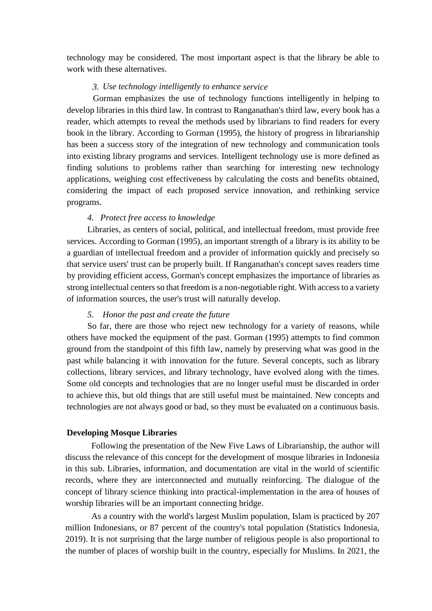technology may be considered. The most important aspect is that the library be able to work with these alternatives.

# *3. Use technology intelligently to enhance service*

Gorman emphasizes the use of technology functions intelligently in helping to develop libraries in this third law. In contrast to Ranganathan's third law, every book has a reader, which attempts to reveal the methods used by librarians to find readers for every book in the library. According to Gorman (1995), the history of progress in librarianship has been a success story of the integration of new technology and communication tools into existing library programs and services. Intelligent technology use is more defined as finding solutions to problems rather than searching for interesting new technology applications, weighing cost effectiveness by calculating the costs and benefits obtained, considering the impact of each proposed service innovation, and rethinking service programs.

# *4. Protect free access to knowledge*

Libraries, as centers of social, political, and intellectual freedom, must provide free services. According to Gorman (1995), an important strength of a library is its ability to be a guardian of intellectual freedom and a provider of information quickly and precisely so that service users' trust can be properly built. If Ranganathan's concept saves readers time by providing efficient access, Gorman's concept emphasizes the importance of libraries as strong intellectual centers so that freedom is a non-negotiable right. With access to a variety of information sources, the user's trust will naturally develop.

# *5. Honor the past and create the future*

So far, there are those who reject new technology for a variety of reasons, while others have mocked the equipment of the past. Gorman (1995) attempts to find common ground from the standpoint of this fifth law, namely by preserving what was good in the past while balancing it with innovation for the future. Several concepts, such as library collections, library services, and library technology, have evolved along with the times. Some old concepts and technologies that are no longer useful must be discarded in order to achieve this, but old things that are still useful must be maintained. New concepts and technologies are not always good or bad, so they must be evaluated on a continuous basis.

#### **Developing Mosque Libraries**

Following the presentation of the New Five Laws of Librarianship, the author will discuss the relevance of this concept for the development of mosque libraries in Indonesia in this sub. Libraries, information, and documentation are vital in the world of scientific records, where they are interconnected and mutually reinforcing. The dialogue of the concept of library science thinking into practical-implementation in the area of houses of worship libraries will be an important connecting bridge.

As a country with the world's largest Muslim population, Islam is practiced by 207 million Indonesians, or 87 percent of the country's total population (Statistics Indonesia, 2019). It is not surprising that the large number of religious people is also proportional to the number of places of worship built in the country, especially for Muslims. In 2021, the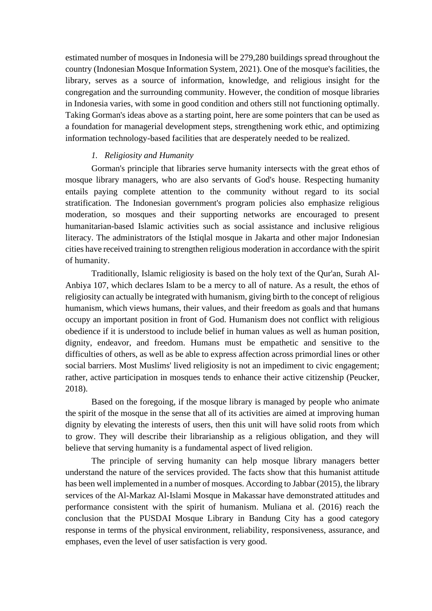estimated number of mosques in Indonesia will be 279,280 buildings spread throughout the country (Indonesian Mosque Information System, 2021). One of the mosque's facilities, the library, serves as a source of information, knowledge, and religious insight for the congregation and the surrounding community. However, the condition of mosque libraries in Indonesia varies, with some in good condition and others still not functioning optimally. Taking Gorman's ideas above as a starting point, here are some pointers that can be used as a foundation for managerial development steps, strengthening work ethic, and optimizing information technology-based facilities that are desperately needed to be realized.

# *1. Religiosity and Humanity*

Gorman's principle that libraries serve humanity intersects with the great ethos of mosque library managers, who are also servants of God's house. Respecting humanity entails paying complete attention to the community without regard to its social stratification. The Indonesian government's program policies also emphasize religious moderation, so mosques and their supporting networks are encouraged to present humanitarian-based Islamic activities such as social assistance and inclusive religious literacy. The administrators of the Istiqlal mosque in Jakarta and other major Indonesian cities have received training to strengthen religious moderation in accordance with the spirit of humanity.

Traditionally, Islamic religiosity is based on the holy text of the Qur'an, Surah Al-Anbiya 107, which declares Islam to be a mercy to all of nature. As a result, the ethos of religiosity can actually be integrated with humanism, giving birth to the concept of religious humanism, which views humans, their values, and their freedom as goals and that humans occupy an important position in front of God. Humanism does not conflict with religious obedience if it is understood to include belief in human values as well as human position, dignity, endeavor, and freedom. Humans must be empathetic and sensitive to the difficulties of others, as well as be able to express affection across primordial lines or other social barriers. Most Muslims' lived religiosity is not an impediment to civic engagement; rather, active participation in mosques tends to enhance their active citizenship (Peucker, 2018).

Based on the foregoing, if the mosque library is managed by people who animate the spirit of the mosque in the sense that all of its activities are aimed at improving human dignity by elevating the interests of users, then this unit will have solid roots from which to grow. They will describe their librarianship as a religious obligation, and they will believe that serving humanity is a fundamental aspect of lived religion.

The principle of serving humanity can help mosque library managers better understand the nature of the services provided. The facts show that this humanist attitude has been well implemented in a number of mosques. According to Jabbar (2015), the library services of the Al-Markaz Al-Islami Mosque in Makassar have demonstrated attitudes and performance consistent with the spirit of humanism. Muliana et al. (2016) reach the conclusion that the PUSDAI Mosque Library in Bandung City has a good category response in terms of the physical environment, reliability, responsiveness, assurance, and emphases, even the level of user satisfaction is very good.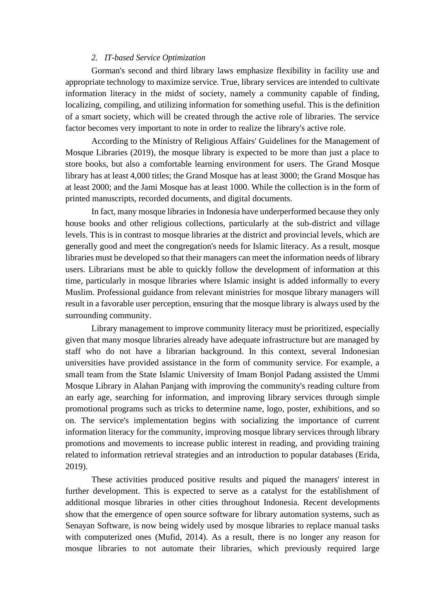# *2. IT-based Service Optimization*

Gorman's second and third library laws emphasize flexibility in facility use and appropriate technology to maximize service. True, library services are intended to cultivate information literacy in the midst of society, namely a community capable of finding, localizing, compiling, and utilizing information for something useful. This is the definition of a smart society, which will be created through the active role of libraries. The service factor becomes very important to note in order to realize the library's active role.

According to the Ministry of Religious Affairs' Guidelines for the Management of Mosque Libraries (2019), the mosque library is expected to be more than just a place to store books, but also a comfortable learning environment for users. The Grand Mosque library has at least 4,000 titles; the Grand Mosque has at least 3000; the Grand Mosque has at least 2000; and the Jami Mosque has at least 1000. While the collection is in the form of printed manuscripts, recorded documents, and digital documents.

In fact, many mosque libraries in Indonesia have underperformed because they only house books and other religious collections, particularly at the sub-district and village levels. This is in contrast to mosque libraries at the district and provincial levels, which are generally good and meet the congregation's needs for Islamic literacy. As a result, mosque libraries must be developed so that their managers can meet the information needs of library users. Librarians must be able to quickly follow the development of information at this time, particularly in mosque libraries where Islamic insight is added informally to every Muslim. Professional guidance from relevant ministries for mosque library managers will result in a favorable user perception, ensuring that the mosque library is always used by the surrounding community.

Library management to improve community literacy must be prioritized, especially given that many mosque libraries already have adequate infrastructure but are managed by staff who do not have a librarian background. In this context, several Indonesian universities have provided assistance in the form of community service. For example, a small team from the State Islamic University of Imam Bonjol Padang assisted the Ummi Mosque Library in Alahan Panjang with improving the community's reading culture from an early age, searching for information, and improving library services through simple promotional programs such as tricks to determine name, logo, poster, exhibitions, and so on. The service's implementation begins with socializing the importance of current information literacy for the community, improving mosque library services through library promotions and movements to increase public interest in reading, and providing training related to information retrieval strategies and an introduction to popular databases (Erida, 2019).

These activities produced positive results and piqued the managers' interest in further development. This is expected to serve as a catalyst for the establishment of additional mosque libraries in other cities throughout Indonesia. Recent developments show that the emergence of open source software for library automation systems, such as Senayan Software, is now being widely used by mosque libraries to replace manual tasks with computerized ones (Mufid, 2014). As a result, there is no longer any reason for mosque libraries to not automate their libraries, which previously required large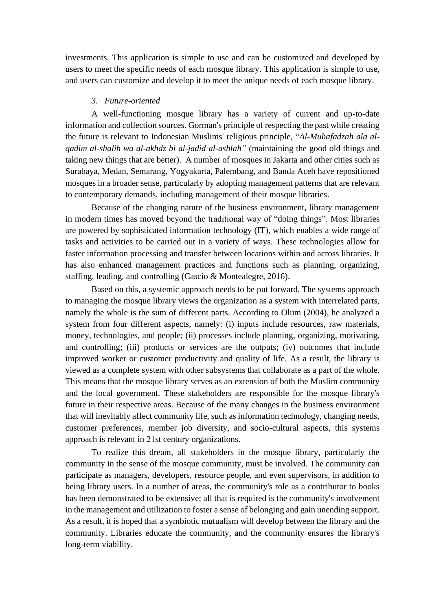investments. This application is simple to use and can be customized and developed by users to meet the specific needs of each mosque library. This application is simple to use, and users can customize and develop it to meet the unique needs of each mosque library.

## *3. Future-oriented*

A well-functioning mosque library has a variety of current and up-to-date information and collection sources. Gorman's principle of respecting the past while creating the future is relevant to Indonesian Muslims' religious principle, "*Al-Muhafadzah ala alqadim al-shalih wa al-akhdz bi al-jadid al-ashlah"* (maintaining the good old things and taking new things that are better). A number of mosques in Jakarta and other cities such as Surabaya, Medan, Semarang, Yogyakarta, Palembang, and Banda Aceh have repositioned mosques in a broader sense, particularly by adopting management patterns that are relevant to contemporary demands, including management of their mosque libraries.

Because of the changing nature of the business environment, library management in modern times has moved beyond the traditional way of "doing things". Most libraries are powered by sophisticated information technology (IT), which enables a wide range of tasks and activities to be carried out in a variety of ways. These technologies allow for faster information processing and transfer between locations within and across libraries. It has also enhanced management practices and functions such as planning, organizing, staffing, leading, and controlling (Cascio & Montealegre, 2016).

Based on this, a systemic approach needs to be put forward. The systems approach to managing the mosque library views the organization as a system with interrelated parts, namely the whole is the sum of different parts. According to Olum (2004), he analyzed a system from four different aspects, namely: (i) inputs include resources, raw materials, money, technologies, and people; (ii) processes include planning, organizing, motivating, and controlling; (iii) products or services are the outputs; (iv) outcomes that include improved worker or customer productivity and quality of life. As a result, the library is viewed as a complete system with other subsystems that collaborate as a part of the whole. This means that the mosque library serves as an extension of both the Muslim community and the local government. These stakeholders are responsible for the mosque library's future in their respective areas. Because of the many changes in the business environment that will inevitably affect community life, such as information technology, changing needs, customer preferences, member job diversity, and socio-cultural aspects, this systems approach is relevant in 21st century organizations.

To realize this dream, all stakeholders in the mosque library, particularly the community in the sense of the mosque community, must be involved. The community can participate as managers, developers, resource people, and even supervisors, in addition to being library users. In a number of areas, the community's role as a contributor to books has been demonstrated to be extensive; all that is required is the community's involvement in the management and utilization to foster a sense of belonging and gain unending support. As a result, it is hoped that a symbiotic mutualism will develop between the library and the community. Libraries educate the community, and the community ensures the library's long-term viability.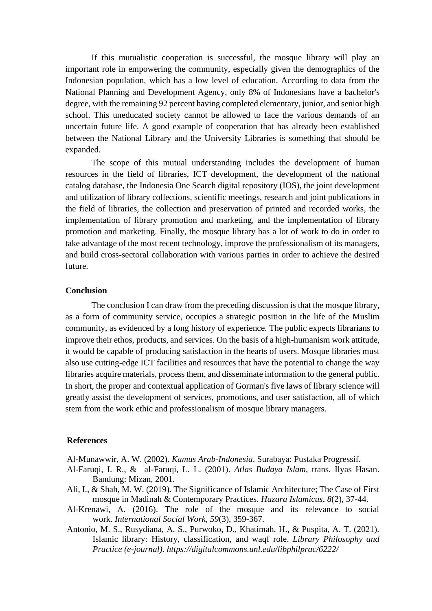If this mutualistic cooperation is successful, the mosque library will play an important role in empowering the community, especially given the demographics of the Indonesian population, which has a low level of education. According to data from the National Planning and Development Agency, only 8% of Indonesians have a bachelor's degree, with the remaining 92 percent having completed elementary, junior, and senior high school. This uneducated society cannot be allowed to face the various demands of an uncertain future life. A good example of cooperation that has already been established between the National Library and the University Libraries is something that should be expanded.

The scope of this mutual understanding includes the development of human resources in the field of libraries, ICT development, the development of the national catalog database, the Indonesia One Search digital repository (IOS), the joint development and utilization of library collections, scientific meetings, research and joint publications in the field of libraries, the collection and preservation of printed and recorded works, the implementation of library promotion and marketing, and the implementation of library promotion and marketing. Finally, the mosque library has a lot of work to do in order to take advantage of the most recent technology, improve the professionalism of its managers, and build cross-sectoral collaboration with various parties in order to achieve the desired future.

#### **Conclusion**

The conclusion I can draw from the preceding discussion is that the mosque library, as a form of community service, occupies a strategic position in the life of the Muslim community, as evidenced by a long history of experience. The public expects librarians to improve their ethos, products, and services. On the basis of a high-humanism work attitude, it would be capable of producing satisfaction in the hearts of users. Mosque libraries must also use cutting-edge ICT facilities and resources that have the potential to change the way libraries acquire materials, process them, and disseminate information to the general public. In short, the proper and contextual application of Gorman's five laws of library science will greatly assist the development of services, promotions, and user satisfaction, all of which stem from the work ethic and professionalism of mosque library managers.

## **References**

Al-Munawwir, A. W. (2002). *Kamus Arab-Indonesia*. Surabaya: Pustaka Progressif.

- Al-Faruqi, I. R., & al-Faruqi, L. L. (2001). *Atlas Budaya Islam,* trans. Ilyas Hasan. Bandung: Mizan, 2001.
- Ali, I., & Shah, M. W. (2019). The Significance of Islamic Architecture; The Case of First mosque in Madinah & Contemporary Practices. *Hazara Islamicus*, *8*(2), 37-44.
- Al-Krenawi, A. (2016). The role of the mosque and its relevance to social work. *International Social Work*, *59*(3), 359-367.
- Antonio, M. S., Rusydiana, A. S., Purwoko, D., Khatimah, H., & Puspita, A. T. (2021). Islamic library: History, classification, and waqf role. *Library [Philosophy](https://digitalcommons.unl.edu/libphilprac) and Practice [\(e-journal\).](https://digitalcommons.unl.edu/libphilprac) https://digitalcommons.unl.edu/libphilprac/6222/*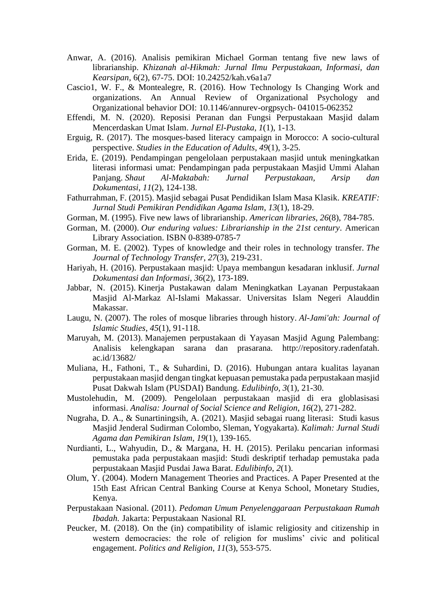- Anwar, A. (2016). Analisis pemikiran Michael Gorman tentang five new laws of librarianship. *Khizanah al-Hikmah: Jurnal Ilmu Perpustakaan, Informasi, dan Kearsipan*, 6(2), 67-75. DOI: 10.24252/kah.v6a1a7
- Cascio1, W. F., & Montealegre, R. (2016). How Technology Is Changing Work and organizations. An Annual Review of Organizational Psychology and Organizational behavior DOI: 10.1146/annurev-orgpsych- 041015-062352
- Effendi, M. N. (2020). Reposisi Peranan dan Fungsi Perpustakaan Masjid dalam Mencerdaskan Umat Islam. *Jurnal El-Pustaka*, *1*(1), 1-13.
- Erguig, R. (2017). The mosques-based literacy campaign in Morocco: A socio-cultural perspective. *Studies in the Education of Adults*, *49*(1), 3-25.
- Erida, E. (2019). Pendampingan pengelolaan perpustakaan masjid untuk meningkatkan literasi informasi umat: Pendampingan pada perpustakaan Masjid Ummi Alahan Panjang. *Shaut Al-Maktabah: Jurnal Perpustakaan, Arsip dan Dokumentasi*, *11*(2), 124-138.
- Fathurrahman, F. (2015). Masjid sebagai Pusat Pendidikan Islam Masa Klasik. *KREATIF: Jurnal Studi Pemikiran Pendidikan Agama Islam*, *13*(1), 18-29.
- Gorman, M. (1995). Five new laws of librarianship. *American libraries*, *26*(8), 784-785.
- Gorman, M. (2000). *Our enduring values: Librarianship in the 21st century*. American Library Association. [ISBN](https://en.wikipedia.org/wiki/ISBN_(identifier)) [0-8389-0785-7](https://en.wikipedia.org/wiki/Special:BookSources/0-8389-0785-7)
- Gorman, M. E. (2002). Types of knowledge and their roles in technology transfer. *The Journal of Technology Transfer*, *27*(3), 219-231.
- Hariyah, H. (2016). Perpustakaan masjid: Upaya membangun kesadaran inklusif. *Jurnal Dokumentasi dan Informasi*, *36*(2), 173-189.
- Jabbar, N. (2015). Kinerja Pustakawan dalam Meningkatkan Layanan Perpustakaan Masjid Al-Markaz Al-Islami Makassar. Universitas Islam Negeri Alauddin Makassar.
- Laugu, N. (2007). The roles of mosque libraries through history. *Al-Jami'ah: Journal of Islamic Studies*, *45*(1), 91-118.
- Maruyah, M. (2013). Manajemen perpustakaan di Yayasan Masjid Agung Palembang: Analisis kelengkapan sarana dan prasarana. [http://repository.radenfatah.](http://repository.radenfatah/) ac.id/13682/
- Muliana, H., Fathoni, T., & Suhardini, D. (2016). Hubungan antara kualitas layanan perpustakaan masjid dengan tingkat kepuasan pemustaka pada perpustakaan masjid Pusat Dakwah Islam (PUSDAI) Bandung. *Edulibinfo*, *3*(1), 21-30.
- Mustolehudin, M. (2009). Pengelolaan perpustakaan masjid di era globlasisasi informasi. *Analisa: Journal of Social Science and Religion*, *16*(2), 271-282.
- Nugraha, D. A., & Sunartiningsih, A. (2021). Masjid sebagai ruang literasi: Studi kasus Masjid Jenderal Sudirman Colombo, Sleman, Yogyakarta). *Kalimah: Jurnal Studi Agama dan Pemikiran Islam*, *19*(1), 139-165.
- Nurdianti, L., Wahyudin, D., & Margana, H. H. (2015). Perilaku pencarian informasi pemustaka pada perpustakaan masjid: Studi deskriptif terhadap pemustaka pada perpustakaan Masjid Pusdai Jawa Barat. *Edulibinfo*, *2*(1).
- Olum, Y. (2004). Modern Management Theories and Practices. A Paper Presented at the 15th East African Central Banking Course at Kenya School, Monetary Studies, Kenya.
- Perpustakaan Nasional. (2011). *Pedoman Umum Penyelenggaraan Perpustakaan Rumah Ibadah*. Jakarta: Perpustakaan Nasional RI.
- Peucker, M. (2018). On the (in) compatibility of islamic religiosity and citizenship in western democracies: the role of religion for muslims' civic and political engagement. *Politics and Religion*, *11*(3), 553-575.